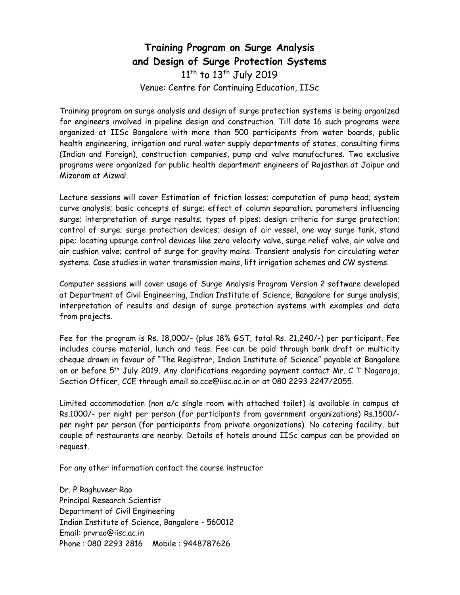### Training Program on Surge Analysis and Design of Surge Protection Systems 11<sup>th</sup> to 13<sup>th</sup> July 2019 Venue: Centre for Continuing Education, IISc

Training program on surge analysis and design of surge protection systems is being organized for engineers involved in pipeline design and construction. Till date 16 such programs were organized at IISc Bangalore with more than 500 participants from water boards, public health engineering, irrigation and rural water supply departments of states, consulting firms (Indian and Foreign), construction companies, pump and valve manufactures. Two exclusive programs were organized for public health department engineers of Rajasthan at Jaipur and Mizoram at Aizwal.

Lecture sessions will cover Estimation of friction losses; computation of pump head; system curve analysis; basic concepts of surge; effect of column separation; parameters influencing surge; interpretation of surge results; types of pipes; design criteria for surge protection; control of surge; surge protection devices; design of air vessel, one way surge tank, stand pipe; locating upsurge control devices like zero velocity valve, surge relief valve, air valve and air cushion valve; control of surge for gravity mains. Transient analysis for circulating water systems. Case studies in water transmission mains, lift irrigation schemes and CW systems.

Computer sessions will cover usage of Surge Analysis Program Version 2 software developed at Department of Civil Engineering, Indian Institute of Science, Bangalore for surge analysis, interpretation of results and design of surge protection systems with examples and data from projects.

Fee for the program is Rs. 18,000/- (plus 18% GST, total Rs. 21,240/-) per participant. Fee includes course material, lunch and teas. Fee can be paid through bank draft or multicity cheque drawn in favour of "The Registrar, Indian Institute of Science" payable at Bangalore on or before 5th July 2019. Any clarifications regarding payment contact Mr. C T Nagaraja, Section Officer, CCE through email so.cce@iisc.ac.in or at 080 2293 2247/2055.

Limited accommodation (non a/c single room with attached toilet) is available in campus at Rs.1000/- per night per person (for participants from government organizations) Rs.1500/ per night per person (for participants from private organizations). No catering facility, but couple of restaurants are nearby. Details of hotels around IISc campus can be provided on request.

For any other information contact the course instructor

Dr. P Raghuveer Rao Principal Research Scientist Department of Civil Engineering Indian Institute of Science, Bangalore - 560012 Email: prvrao@iisc.ac.in Phone : 080 2293 2816 Mobile : 9448787626